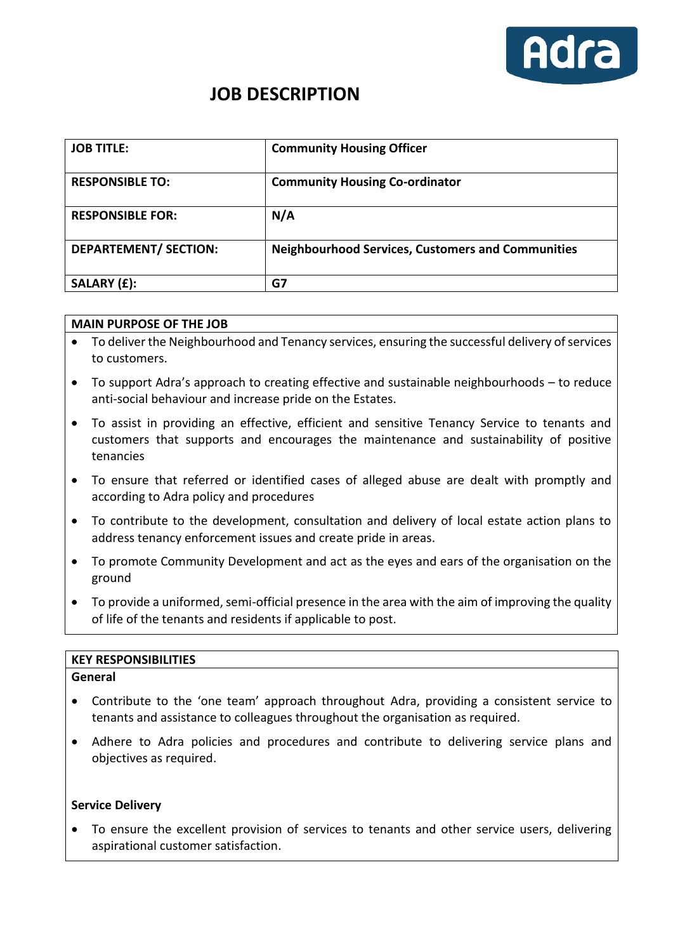

# **JOB DESCRIPTION**

| <b>JOB TITLE:</b>            | <b>Community Housing Officer</b>                         |
|------------------------------|----------------------------------------------------------|
| <b>RESPONSIBLE TO:</b>       | <b>Community Housing Co-ordinator</b>                    |
| <b>RESPONSIBLE FOR:</b>      | N/A                                                      |
| <b>DEPARTEMENT/ SECTION:</b> | <b>Neighbourhood Services, Customers and Communities</b> |
| SALARY (£):                  | G7                                                       |

# **MAIN PURPOSE OF THE JOB**

- To deliver the Neighbourhood and Tenancy services, ensuring the successful delivery of services to customers.
- To support Adra's approach to creating effective and sustainable neighbourhoods to reduce anti-social behaviour and increase pride on the Estates.
- To assist in providing an effective, efficient and sensitive Tenancy Service to tenants and customers that supports and encourages the maintenance and sustainability of positive tenancies
- To ensure that referred or identified cases of alleged abuse are dealt with promptly and according to Adra policy and procedures
- To contribute to the development, consultation and delivery of local estate action plans to address tenancy enforcement issues and create pride in areas.
- To promote Community Development and act as the eyes and ears of the organisation on the ground
- To provide a uniformed, semi-official presence in the area with the aim of improving the quality of life of the tenants and residents if applicable to post.

#### **KEY RESPONSIBILITIES**

#### **General**

- Contribute to the 'one team' approach throughout Adra, providing a consistent service to tenants and assistance to colleagues throughout the organisation as required.
- Adhere to Adra policies and procedures and contribute to delivering service plans and objectives as required.

#### **Service Delivery**

• To ensure the excellent provision of services to tenants and other service users, delivering aspirational customer satisfaction.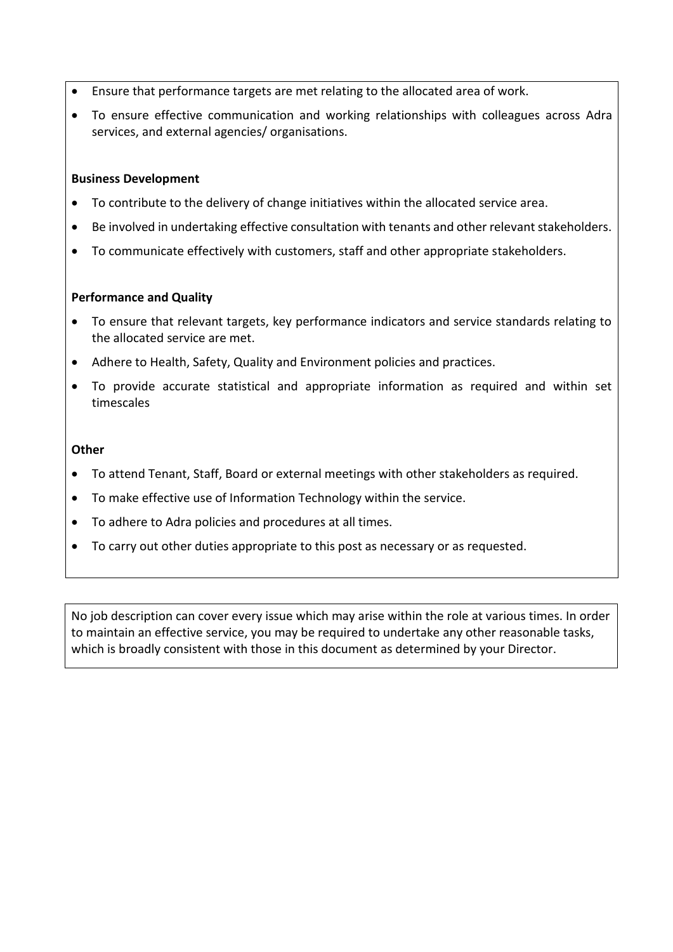- Ensure that performance targets are met relating to the allocated area of work.
- To ensure effective communication and working relationships with colleagues across Adra services, and external agencies/ organisations.

# **Business Development**

- To contribute to the delivery of change initiatives within the allocated service area.
- Be involved in undertaking effective consultation with tenants and other relevant stakeholders.
- To communicate effectively with customers, staff and other appropriate stakeholders.

## **Performance and Quality**

- To ensure that relevant targets, key performance indicators and service standards relating to the allocated service are met.
- Adhere to Health, Safety, Quality and Environment policies and practices.
- To provide accurate statistical and appropriate information as required and within set timescales

## **Other**

- To attend Tenant, Staff, Board or external meetings with other stakeholders as required.
- To make effective use of Information Technology within the service.
- To adhere to Adra policies and procedures at all times.
- To carry out other duties appropriate to this post as necessary or as requested.

No job description can cover every issue which may arise within the role at various times. In order to maintain an effective service, you may be required to undertake any other reasonable tasks, which is broadly consistent with those in this document as determined by your Director.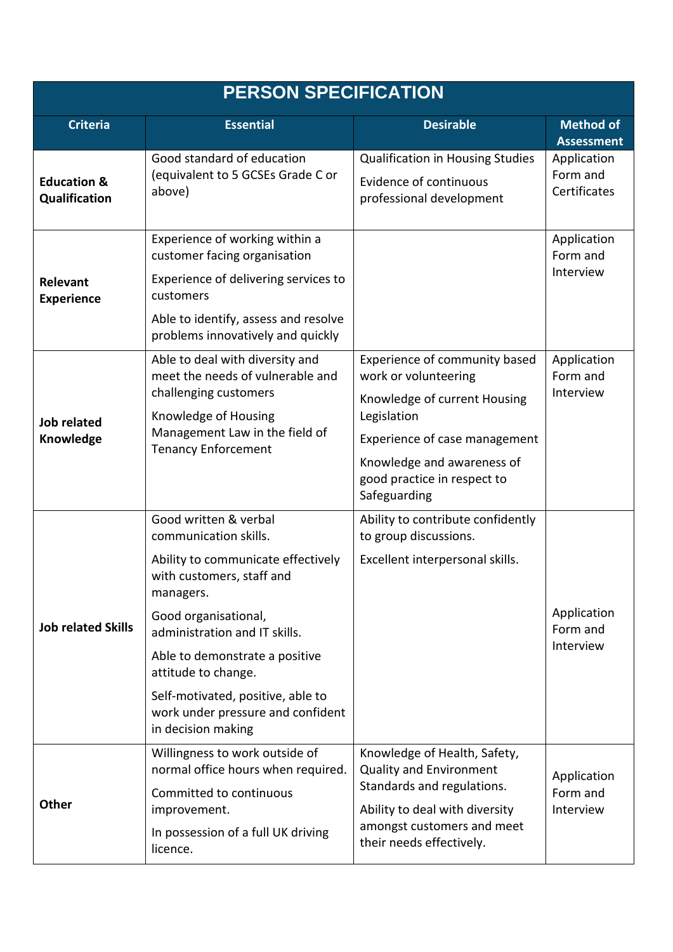| <b>PERSON SPECIFICATION</b>             |                                                                                                                                                                                                                                                                                                                                                  |                                                                                                                                                                                                                    |                                         |  |  |  |
|-----------------------------------------|--------------------------------------------------------------------------------------------------------------------------------------------------------------------------------------------------------------------------------------------------------------------------------------------------------------------------------------------------|--------------------------------------------------------------------------------------------------------------------------------------------------------------------------------------------------------------------|-----------------------------------------|--|--|--|
| <b>Criteria</b>                         | <b>Essential</b>                                                                                                                                                                                                                                                                                                                                 | <b>Desirable</b>                                                                                                                                                                                                   | <b>Method of</b><br><b>Assessment</b>   |  |  |  |
| <b>Education &amp;</b><br>Qualification | Good standard of education<br>(equivalent to 5 GCSEs Grade C or<br>above)                                                                                                                                                                                                                                                                        | <b>Qualification in Housing Studies</b><br><b>Evidence of continuous</b><br>professional development                                                                                                               | Application<br>Form and<br>Certificates |  |  |  |
| Relevant<br><b>Experience</b>           | Experience of working within a<br>customer facing organisation<br>Experience of delivering services to<br>customers<br>Able to identify, assess and resolve<br>problems innovatively and quickly                                                                                                                                                 |                                                                                                                                                                                                                    | Application<br>Form and<br>Interview    |  |  |  |
| <b>Job related</b><br>Knowledge         | Able to deal with diversity and<br>meet the needs of vulnerable and<br>challenging customers<br>Knowledge of Housing<br>Management Law in the field of<br><b>Tenancy Enforcement</b>                                                                                                                                                             | Experience of community based<br>work or volunteering<br>Knowledge of current Housing<br>Legislation<br>Experience of case management<br>Knowledge and awareness of<br>good practice in respect to<br>Safeguarding | Application<br>Form and<br>Interview    |  |  |  |
| <b>Job related Skills</b>               | Good written & verbal<br>communication skills.<br>Ability to communicate effectively<br>with customers, staff and<br>managers.<br>Good organisational,<br>administration and IT skills.<br>Able to demonstrate a positive<br>attitude to change.<br>Self-motivated, positive, able to<br>work under pressure and confident<br>in decision making | Ability to contribute confidently<br>to group discussions.<br>Excellent interpersonal skills.                                                                                                                      | Application<br>Form and<br>Interview    |  |  |  |
| Other                                   | Willingness to work outside of<br>normal office hours when required.<br>Committed to continuous<br>improvement.<br>In possession of a full UK driving<br>licence.                                                                                                                                                                                | Knowledge of Health, Safety,<br><b>Quality and Environment</b><br>Standards and regulations.<br>Ability to deal with diversity<br>amongst customers and meet<br>their needs effectively.                           | Application<br>Form and<br>Interview    |  |  |  |